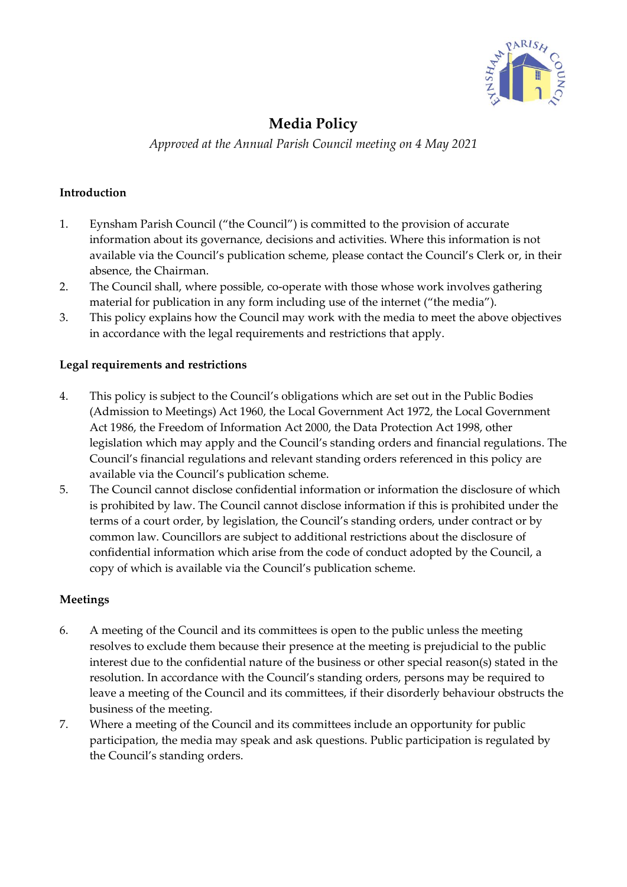

# **Media Policy**

*Approved at the Annual Parish Council meeting on 4 May 2021*

## **Introduction**

- 1. Eynsham Parish Council ("the Council") is committed to the provision of accurate information about its governance, decisions and activities. Where this information is not available via the Council's publication scheme, please contact the Council's Clerk or, in their absence, the Chairman.
- 2. The Council shall, where possible, co-operate with those whose work involves gathering material for publication in any form including use of the internet ("the media").
- 3. This policy explains how the Council may work with the media to meet the above objectives in accordance with the legal requirements and restrictions that apply.

## **Legal requirements and restrictions**

- 4. This policy is subject to the Council's obligations which are set out in the Public Bodies (Admission to Meetings) Act 1960, the Local Government Act 1972, the Local Government Act 1986, the Freedom of Information Act 2000, the Data Protection Act 1998, other legislation which may apply and the Council's standing orders and financial regulations. The Council's financial regulations and relevant standing orders referenced in this policy are available via the Council's publication scheme.
- 5. The Council cannot disclose confidential information or information the disclosure of which is prohibited by law. The Council cannot disclose information if this is prohibited under the terms of a court order, by legislation, the Council's standing orders, under contract or by common law. Councillors are subject to additional restrictions about the disclosure of confidential information which arise from the code of conduct adopted by the Council, a copy of which is available via the Council's publication scheme.

## **Meetings**

- 6. A meeting of the Council and its committees is open to the public unless the meeting resolves to exclude them because their presence at the meeting is prejudicial to the public interest due to the confidential nature of the business or other special reason(s) stated in the resolution. In accordance with the Council's standing orders, persons may be required to leave a meeting of the Council and its committees, if their disorderly behaviour obstructs the business of the meeting.
- 7. Where a meeting of the Council and its committees include an opportunity for public participation, the media may speak and ask questions. Public participation is regulated by the Council's standing orders.